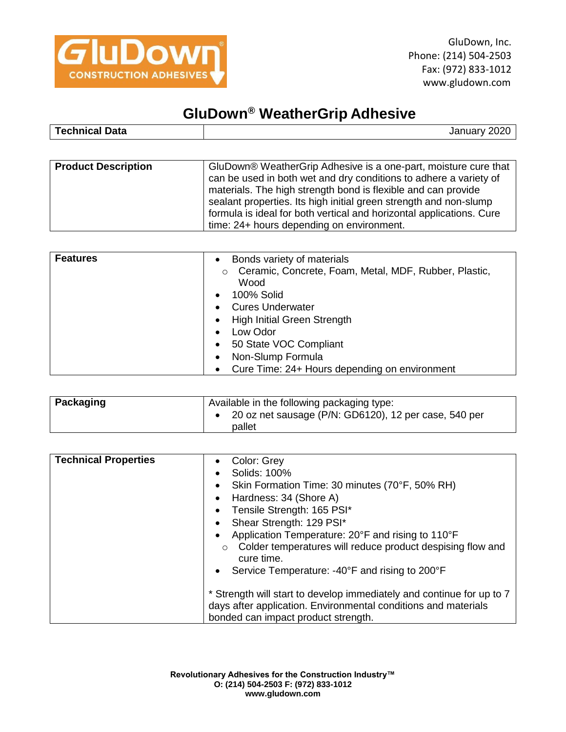

## **GluDown® WeatherGrip Adhesive**

| Technical Data | January 2020 |
|----------------|--------------|

| <b>Product Description</b> | GluDown® WeatherGrip Adhesive is a one-part, moisture cure that<br>can be used in both wet and dry conditions to adhere a variety of<br>materials. The high strength bond is flexible and can provide<br>sealant properties. Its high initial green strength and non-slump<br>formula is ideal for both vertical and horizontal applications. Cure |
|----------------------------|----------------------------------------------------------------------------------------------------------------------------------------------------------------------------------------------------------------------------------------------------------------------------------------------------------------------------------------------------|
|                            | time: 24+ hours depending on environment.                                                                                                                                                                                                                                                                                                          |

| <b>Features</b> | Bonds variety of materials<br>Ceramic, Concrete, Foam, Metal, MDF, Rubber, Plastic,<br>$\circ$<br>Wood<br><b>100% Solid</b><br><b>Cures Underwater</b><br>$\bullet$<br>• High Initial Green Strength<br>Low Odor<br>50 State VOC Compliant<br>Non-Slump Formula<br>Cure Time: 24+ Hours depending on environment |
|-----------------|------------------------------------------------------------------------------------------------------------------------------------------------------------------------------------------------------------------------------------------------------------------------------------------------------------------|
|-----------------|------------------------------------------------------------------------------------------------------------------------------------------------------------------------------------------------------------------------------------------------------------------------------------------------------------------|

| Packaging | Available in the following packaging type:                      |
|-----------|-----------------------------------------------------------------|
|           | 20 oz net sausage (P/N: GD6120), 12 per case, 540 per<br>pallet |
|           |                                                                 |

| <b>Technical Properties</b> | Color: Grey<br>Solids: 100%<br>Skin Formation Time: 30 minutes (70°F, 50% RH)<br>Hardness: 34 (Shore A)<br>Tensile Strength: 165 PSI*<br>Shear Strength: 129 PSI*<br>Application Temperature: 20°F and rising to 110°F<br>Colder temperatures will reduce product despising flow and<br>$\circ$<br>cure time.<br>Service Temperature: -40°F and rising to 200°F |
|-----------------------------|-----------------------------------------------------------------------------------------------------------------------------------------------------------------------------------------------------------------------------------------------------------------------------------------------------------------------------------------------------------------|
|                             | * Strength will start to develop immediately and continue for up to 7<br>days after application. Environmental conditions and materials<br>bonded can impact product strength.                                                                                                                                                                                  |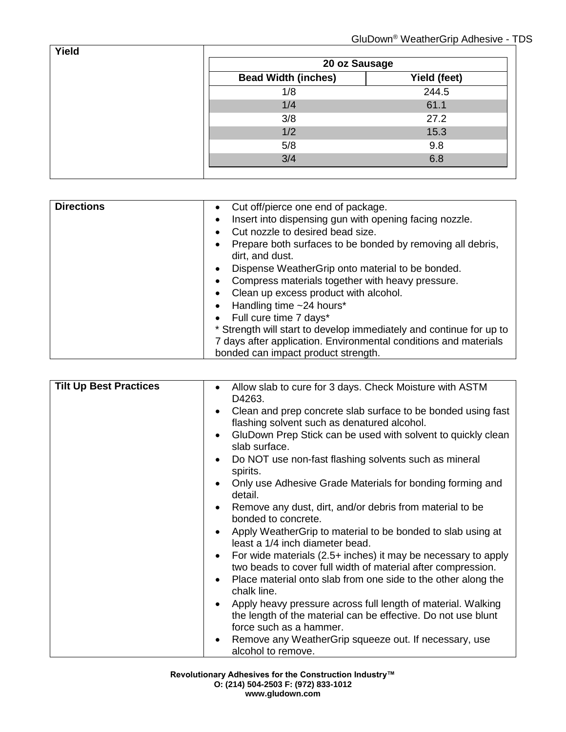| 20 oz Sausage              |              |
|----------------------------|--------------|
| <b>Bead Width (inches)</b> | Yield (feet) |
| 1/8                        | 244.5        |
| 1/4                        | 61.1         |
| 3/8                        | 27.2         |
| 1/2                        | 15.3         |
| 5/8                        | 9.8          |
| 3/4                        | 6.8          |

| <b>Directions</b> | Cut off/pierce one end of package.<br>Insert into dispensing gun with opening facing nozzle.<br>Cut nozzle to desired bead size.<br>Prepare both surfaces to be bonded by removing all debris,<br>dirt, and dust.<br>Dispense WeatherGrip onto material to be bonded.<br>$\bullet$<br>Compress materials together with heavy pressure.<br>Clean up excess product with alcohol.<br>Handling time ~24 hours*<br>Full cure time 7 days*<br>* Strength will start to develop immediately and continue for up to |
|-------------------|--------------------------------------------------------------------------------------------------------------------------------------------------------------------------------------------------------------------------------------------------------------------------------------------------------------------------------------------------------------------------------------------------------------------------------------------------------------------------------------------------------------|
|                   | 7 days after application. Environmental conditions and materials<br>bonded can impact product strength.                                                                                                                                                                                                                                                                                                                                                                                                      |

| <b>Tilt Up Best Practices</b> | Allow slab to cure for 3 days. Check Moisture with ASTM<br>D4263.<br>Clean and prep concrete slab surface to be bonded using fast<br>flashing solvent such as denatured alcohol.<br>GluDown Prep Stick can be used with solvent to quickly clean<br>slab surface.<br>Do NOT use non-fast flashing solvents such as mineral<br>spirits.<br>Only use Adhesive Grade Materials for bonding forming and<br>detail.<br>Remove any dust, dirt, and/or debris from material to be<br>bonded to concrete.<br>Apply WeatherGrip to material to be bonded to slab using at |
|-------------------------------|------------------------------------------------------------------------------------------------------------------------------------------------------------------------------------------------------------------------------------------------------------------------------------------------------------------------------------------------------------------------------------------------------------------------------------------------------------------------------------------------------------------------------------------------------------------|
|                               | least a 1/4 inch diameter bead.<br>For wide materials (2.5+ inches) it may be necessary to apply<br>two beads to cover full width of material after compression.<br>Place material onto slab from one side to the other along the<br>chalk line.<br>Apply heavy pressure across full length of material. Walking<br>the length of the material can be effective. Do not use blunt<br>force such as a hammer.<br>Remove any WeatherGrip squeeze out. If necessary, use<br>alcohol to remove.                                                                      |